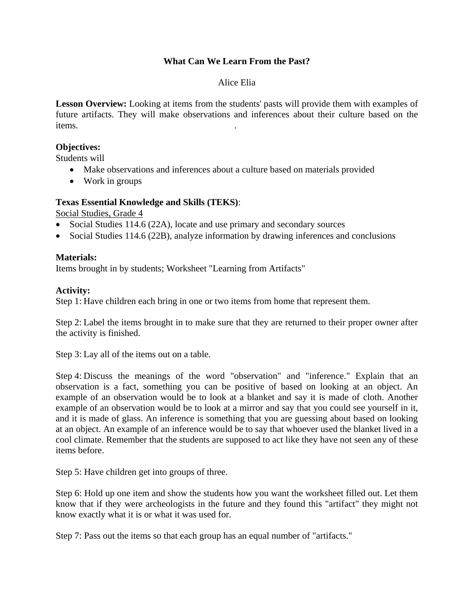## **What Can We Learn From the Past?**

### Alice Elia

**Lesson Overview:** Looking at items from the students' pasts will provide them with examples of future artifacts. They will make observations and inferences about their culture based on the items.

#### **Objectives:**

Students will

- Make observations and inferences about a culture based on materials provided
- Work in groups

#### **Texas Essential Knowledge and Skills (TEKS)**:

Social Studies, Grade 4

- Social Studies 114.6 (22A), locate and use primary and secondary sources
- Social Studies 114.6 (22B), analyze information by drawing inferences and conclusions

#### **Materials:**

Items brought in by students; Worksheet "Learning from Artifacts"

#### **Activity:**

Step 1: Have children each bring in one or two items from home that represent them.

Step 2: Label the items brought in to make sure that they are returned to their proper owner after the activity is finished.

Step 3: Lay all of the items out on a table.

Step 4: Discuss the meanings of the word "observation" and "inference." Explain that an observation is a fact, something you can be positive of based on looking at an object. An example of an observation would be to look at a blanket and say it is made of cloth. Another example of an observation would be to look at a mirror and say that you could see yourself in it, and it is made of glass. An inference is something that you are guessing about based on looking at an object. An example of an inference would be to say that whoever used the blanket lived in a cool climate. Remember that the students are supposed to act like they have not seen any of these items before.

Step 5: Have children get into groups of three.

Step 6: Hold up one item and show the students how you want the worksheet filled out. Let them know that if they were archeologists in the future and they found this "artifact" they might not know exactly what it is or what it was used for.

Step 7: Pass out the items so that each group has an equal number of "artifacts."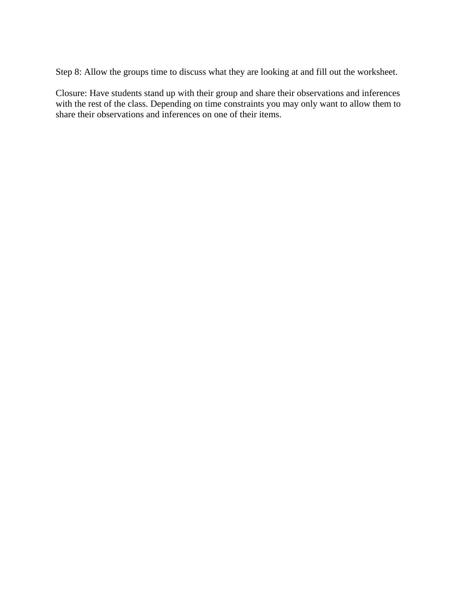Step 8: Allow the groups time to discuss what they are looking at and fill out the worksheet.

Closure: Have students stand up with their group and share their observations and inferences with the rest of the class. Depending on time constraints you may only want to allow them to share their observations and inferences on one of their items.